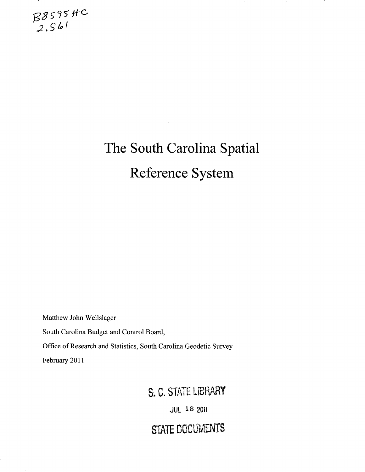

# **The South Carolina Spatial Reference System**

Matthew John Wellslager

South Carolina Budget and Control Board,

Office of Research and Statistics, South Carolina Geodetic Survey

February 2011

### S. C. STATE LIBRARY

JUL 18 2011

## STATE DOCUMENTS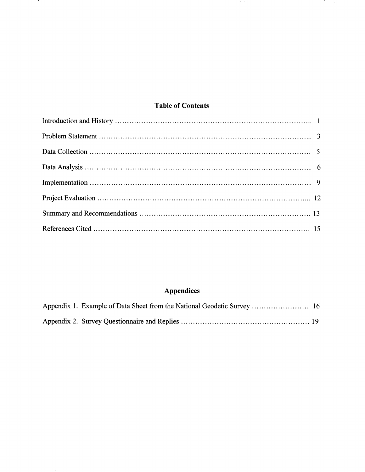#### **Table of Contents**

<u>т</u>

### Appendices

 $\sim 10^{-1}$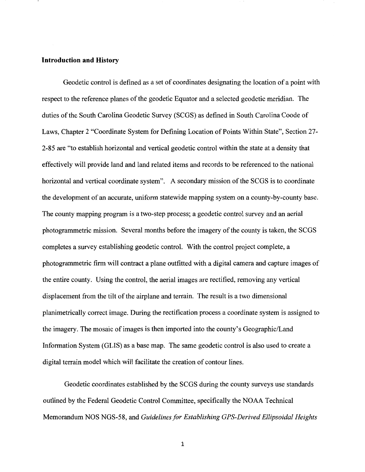#### **Introduction and History**

Geodetic control is defined as a set of coordinates designating the location of a point with respect to the reference planes of the geodetic Equator and a selected geodetic meridian. The duties of the South Carolina Geodetic Survey (SCGS) as defined in South Carolina Coode of Laws, Chapter 2 "Coordinate System for Defining Location of Points Within State", Section 27- 2-85 are "to establish horizontal and vertical geodetic control within the state at a density that effectively will provide land and land related items and records to be referenced to the national horizontal and vertical coordinate system". A secondary mission of the SCGS is to coordinate the development of an accurate, uniform statewide mapping system on a county-by-county base. The county mapping program is a two-step process; a geodetic control survey and an aerial photogrammetric mission. Several months before the imagery of the county is taken, the SCGS completes a survey establishing geodetic control. With the control project complete, a photogrammetric firm will contract a plane outfitted with a digital camera and capture images of the entire county. Using the control, the aerial images are rectified, removing any vertical displacement from the tilt of the airplane and terrain. The result is a two dimensional planimetrically correct image. During the rectification process a coordinate system is assigned to the imagery. The mosaic of images is then imported into the county's Geographic/Land Information System (GLIS) as a base map. The same geodetic control is also used to create a digital terrain model which will facilitate the creation of contour lines.

Geodetic coordinates established by the SCGS during the county surveys use standards outlined by the Federal Geodetic Control Committee, specifically the NOAA Technical Memorandum NOS NGS-58, and *Guidelines for Establishing CPS-Derived Ellipsoidal Heights*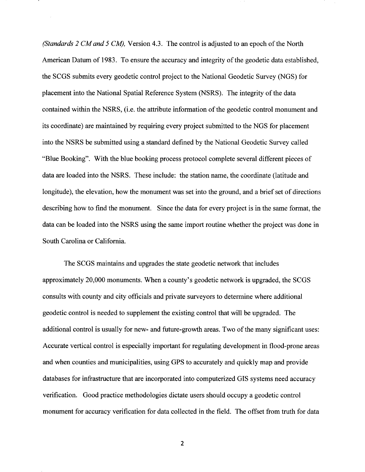*(Standards 2 CM and 5 CM),* Version 4.3. The control is adjusted to an epoch of the North American Datum of 1983. To ensure the accuracy and integrity of the geodetic data established, the SCGS submits every geodetic control project to the National Geodetic Survey (NGS) for placement into the National Spatial Reference System (NSRS). The integrity of the data contained within the NSRS, (i.e. the attribute information of the geodetic control monument and its coordinate) are maintained by requiring every project submitted to the NGS for placement into the NSRS be submitted using a standard defined by the National Geodetic Survey called "Blue Booking". With the blue booking process protocol complete several different pieces of data are loaded into the NSRS. These include: the station name, the coordinate (latitude and longitude), the elevation, how the monument was set into the ground, and a brief set of directions describing how to find the monument. Since the data for every project is in the same format, the data can be loaded into the NSRS using the same import routine whether the project was done in South Carolina or California.

The SCGS maintains and upgrades the state geodetic network that includes approximately 20,000 monuments. When a county's geodetic network is upgraded, the SCGS consults with county and city officials and private surveyors to determine where additional geodetic control is needed to supplement the existing control that will be upgraded. The additional control is usually for new- and future-growth areas. Two of the many significant uses: Accurate vertical control is especially important for regulating development in flood-prone areas and when counties and municipalities, using GPS to accurately and quickly map and provide databases for infrastructure that are incorporated into computerized GIS systems need accuracy verification. Good practice methodologies dictate users should occupy a geodetic control monument for accuracy verification for data collected in the field. The offset from truth for data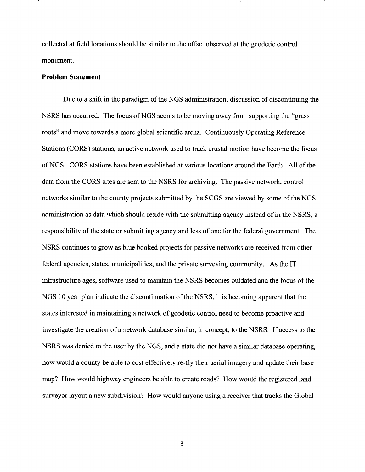collected at field locations should be similar to the offset observed at the geodetic control monument.

#### **Problem Statement**

Due to a shift in the paradigm of the NGS administration, discussion of discontinuing the NSRS has occurred. The focus of NGS seems to be moving away from supporting the "grass" roots" and move towards a more global scientific arena. Continuously Operating Reference Stations (CORS) stations, an active network used to track crustal motion have become the focus of NGS. CORS stations have been established at various locations around the Earth. All of the data from the CORS sites are sent to the NSRS for archiving. The passive network, control networks similar to the county projects submitted by the SCGS are viewed by some of the NGS administration as data which should reside with the submitting agency instead of in the NSRS, a responsibility of the state or submitting agency and less of one for the federal government. The NSRS continues to grow as blue booked projects for passive networks are received from other federal agencies, states, municipalities, and the private surveying community. As the IT infrastructure ages, software used to maintain the NSRS becomes outdated and the focus of the NGS 10 year plan indicate the discontinuation of the NSRS, it is becoming apparent that the states interested in maintaining a network of geodetic control need to become proactive and investigate the creation of a network database similar, in concept, to the NSRS. If access to the NSRS was denied to the user by the NGS, and a state did not have a similar database operating, how would a county be able to cost effectively re-fly their aerial imagery and update their base map? How would highway engineers be able to create roads? How would the registered land surveyor layout a new subdivision? How would anyone using a receiver that tracks the Global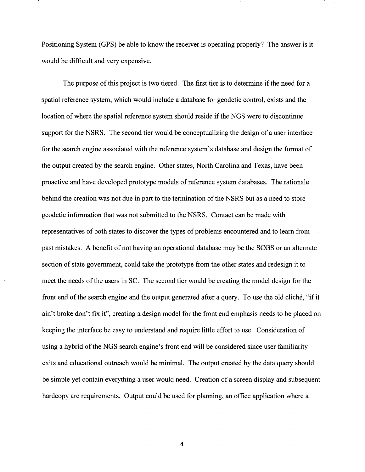Positioning System (OPS) be able to know the receiver is operating properly? The answer is it would be difficult and very expensive.

The purpose of this project is two tiered. The first tier is to determine if the need for a spatial reference system, which would include a database for geodetic control, exists and the location of where the spatial reference system should reside if the NOS were to discontinue support for the NSRS. The second tier would be conceptualizing the design of a user interface for the search engine associated with the reference system's database and design the format of the output created by the search engine. Other states, North Carolina and Texas, have been proactive and have developed prototype models of reference system databases. The rationale behind the creation was not due in part to the termination of the NSRS but as a need to store geodetic information that was not submitted to the NSRS. Contact can be made with representatives of both states to discover the types of problems encountered and to learn from past mistakes. A benefit of not having an operational database may be the SCOS or an alternate section of state government, could take the prototype from the other states and redesign it to meet the needs of the users in SC. The second tier would be creating the model design for the front end of the search engine and the output generated after a query. To use the old cliche, "if it ain't broke don't fix it", creating a design model for the front end emphasis needs to be placed on keeping the interface be easy to understand and require little effort to use. Consideration of using a hybrid of the NGS search engine's front end will be considered since user familiarity exits and educational outreach would be minimal. The output created by the data query should be simple yet contain everything a user would need. Creation of a screen display and subsequent hardcopy are requirements. Output could be used for planning, an office application where a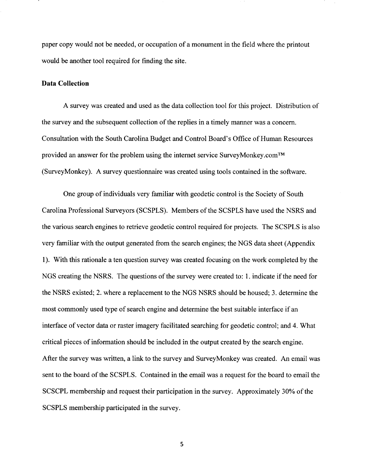paper copy would not be needed, or occupation of a monument in the field where the printout would be another tool required for finding the site.

#### **Data Collection**

A survey was created and used as the data collection tool for this project. Distribution of the survey and the subsequent collection of the replies in a timely manner was a concern. Consultation with the South Carolina Budget and Control Board's Office of Human Resources provided an answer for the problem using the internet service SurveyMonkey.com™ (SurveyMonkey). A survey questionnaire was created using tools contained in the software.

One group of individuals very familiar with geodetic control is the Society of South Carolina Professional Surveyors (SCSPLS). Members of the SCSPLS have used the NSRS and the various search engines to retrieve geodetic control required for projects. The SCSPLS is also very familiar with the output generated from the search engines; the NGS data sheet (Appendix 1 ). With this rationale a ten question survey was created focusing on the work completed by the NGS creating the NSRS. The questions of the survey were created to: 1. indicate if the need for the NSRS existed; 2. where a replacement to the NGS NSRS should be housed; 3. determine the most commonly used type of search engine and determine the best suitable interface if an interface of vector data or raster imagery facilitated searching for geodetic control; and 4. What critical pieces of information should be included in the output created by the search engine. After the survey was written, a link to the survey and SurveyMonkey was created. An email was sent to the board of the SCSPLS. Contained in the email was a request for the board to email the SCSCPL membership and request their participation in the survey. Approximately 30% of the SCSPLS membership participated in the survey.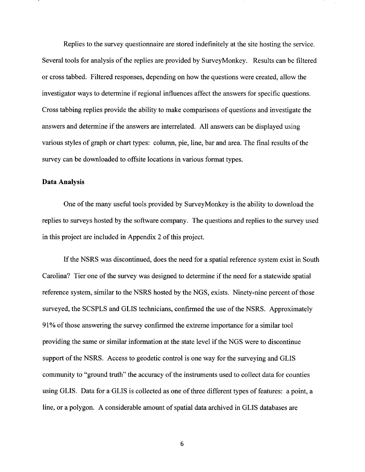Replies to the survey questionnaire are stored indefinitely at the site hosting the service. Several tools for analysis of the replies are provided by SurveyMonkey. Results can be filtered or cross tabbed. Filtered responses, depending on how the questions were created, allow the investigator ways to determine if regional influences affect the answers for specific questions. Cross tabbing replies provide the ability to make comparisons of questions and investigate the answers and determine if the answers are interrelated. All answers can be displayed using various styles of graph or chart types: column, pie, line, bar and area. The final results of the survey can be downloaded to offsite locations in various format types.

#### **Data Analysis**

One of the many useful tools provided by SurveyMonkey is the ability to download the replies to surveys hosted by the software company. The questions and replies to the survey used in this project are included in Appendix 2 of this project.

If the NSRS was discontinued, does the need for a spatial reference system exist in South Carolina? Tier one of the survey was designed to determine if the need for a statewide spatial reference system, similar to the NSRS hosted by the NGS, exists. Ninety-nine percent of those surveyed, the SCSPLS and GLIS technicians, confirmed the use of the NSRS. Approximately 91% of those answering the survey confirmed the extreme importance for a similar tool providing the same or similar information at the state level if the NGS were to discontinue support of the NSRS. Access to geodetic control is one way for the surveying and GLIS community to "ground truth" the accuracy of the instruments used to collect data for counties using GLIS. Data for a GLIS is collected as one of three different types of features: a point, a line, or a polygon. A considerable amount of spatial data archived in GLIS databases are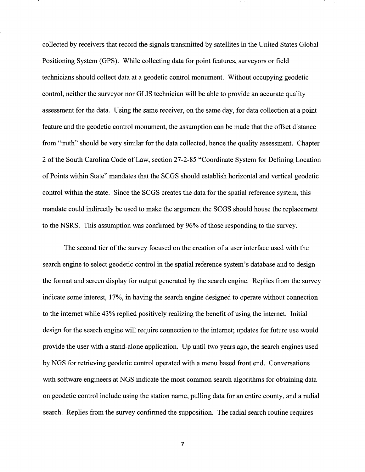collected by receivers that record the signals transmitted by satellites in the United States Global Positioning System (GPS). While collecting data for point features, surveyors or field technicians should collect data at a geodetic control monument. Without occupying geodetic control, neither the surveyor nor GLIS technician will be able to provide an accurate quality assessment for the data. Using the same receiver, on the same day, for data collection at a point feature and the geodetic control monument, the assumption can be made that the offset distance from "truth" should be very similar for the data collected, hence the quality assessment. Chapter 2 of the South Carolina Code of Law, section 27-2-85 "Coordinate System for Defining Location of Points within State" mandates that the SCGS should establish horizontal and vertical geodetic control within the state. Since the SCGS creates the data for the spatial reference system, this mandate could indirectly be used to make the argument the SCGS should house the replacement to the NSRS. This assumption was confirmed by 96% of those responding to the survey.

The second tier of the survey focused on the creation of a user interface used with the search engine to select geodetic control in the spatial reference system's database and to design the format and screen display for output generated by the search engine. Replies from the survey indicate some interest, 17%, in having the search engine designed to operate without connection to the internet while 43% replied positively realizing the benefit of using the internet. Initial design for the search engine will require connection to the internet; updates for future use would provide the user with a stand-alone application. Up until two years ago, the search engines used by NGS for retrieving geodetic control operated with a menu based front end. Conversations with software engineers at NGS indicate the most common search algorithms for obtaining data on geodetic control include using the station name, pulling data for an entire county, and a radial search. Replies from the survey confirmed the supposition. The radial search routine requires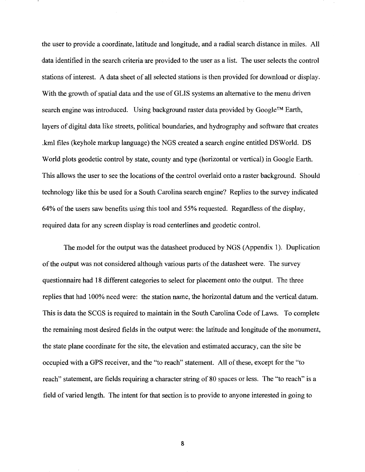the user to provide a coordinate, latitude and longitude, and a radial search distance in miles. All data identified in the search criteria are provided to the user as a list. The user selects the control stations of interest. A data sheet of all selected stations is then provided for download or display. With the growth of spatial data and the use of GLIS systems an alternative to the menu driven search engine was introduced. Using background raster data provided by Google™ Earth, layers of digital data like streets, political boundaries, and hydrography and software that creates .kml files (keyhole markup language) the NGS created a search engine entitled DSWorld. DS World plots geodetic control by state, county and type (horizontal or vertical) in Google Earth. This allows the user to see the locations of the control overlaid onto a raster background. Should technology like this be used for a South Carolina search engine? Replies to the survey indicated 64% of the users saw benefits using this tool and 55% requested. Regardless of the display, required data for any screen display is road centerlines and geodetic control.

The model for the output was the datasheet produced by NGS (Appendix 1). Duplication of the output was not considered although various parts of the datasheet were. The survey questionnaire had 18 different categories to select for placement onto the output. The three replies that had 100% need were: the station name, the horizontal datum and the vertical datum. This is data the SCGS is required to maintain in the South Carolina Code of Laws. To complete the remaining most desired fields in the output were: the latitude and longitude of the monument, the state plane coordinate for the site, the elevation and estimated accuracy, can the site be occupied with a GPS receiver, and the "to reach" statement. All of these, except for the "to reach" statement, are fields requiring a character string of 80 spaces or less. The "to reach" is a field of varied length. The intent for that section is to provide to anyone interested in going to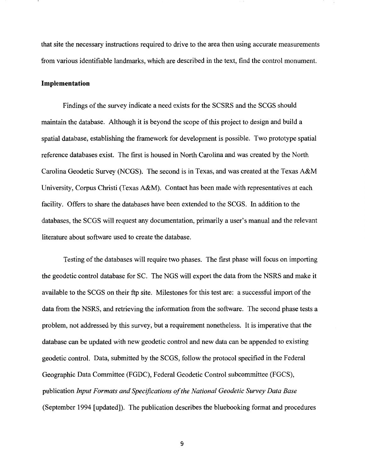that site the necessary instructions required to drive to the area then using accurate measurements from various identifiable landmarks, which are described in the text, find the control monument.

#### **Implementation**

Findings of the survey indicate a need exists for the SCSRS and the SCGS should maintain the database. Although it is beyond the scope of this project to design and build a spatial database, establishing the framework for development is possible. Two prototype spatial reference databases exist. The first is housed in North Carolina and was created by the North Carolina Geodetic Survey (NCGS). The second is in Texas, and was created at the Texas A&M University, Corpus Christi (Texas A&M). Contact has been made with representatives at each facility. Offers to share the databases have been extended to the SCGS. In addition to the databases, the SCGS will request any documentation, primarily a user's manual and the relevant literature about software used to create the database.

Testing of the databases will require two phases. The first phase will focus on importing the geodetic control database for SC. The NGS will export the data from the NSRS and make it available to the SCGS on their ftp site. Milestones for this test are: a successful import of the data from the NSRS, and retrieving the information from the software. The second phase tests a problem, not addressed by this survey, but a requirement nonetheless. It is imperative that the database can be updated with new geodetic control and new data can be appended to existing geodetic control. Data, submitted by the SCGS, follow the protocol specified in the Federal Geographic Data Committee (FGDC), Federal Geodetic Control subcommittee (FGCS), publication *Input Formats and Specifications of the National Geodetic Survey Data Base*  (September 1994 [updated]). The publication describes the blue booking format and procedures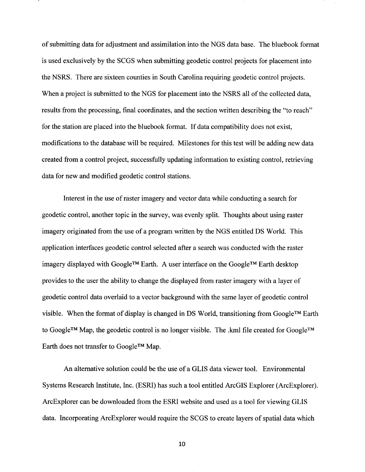of submitting data for adjustment and assimilation into the NGS data base. The bluebook format is used exclusively by the SCGS when submitting geodetic control projects for placement into the NSRS. There are sixteen counties in South Carolina requiring geodetic control projects. When a project is submitted to the NGS for placement into the NSRS all of the collected data, results from the processing, final coordinates, and the section written describing the "to reach" for the station are placed into the bluebook format. If data compatibility does not exist, modifications to the database will be required. Milestones for this test will be adding new data created from a control project, successfully updating information to existing control, retrieving data for new and modified geodetic control stations.

Interest in the use of raster imagery and vector data while conducting a search for geodetic control, another topic in the survey, was evenly split. Thoughts about using raster imagery originated from the use of a program written by the NGS entitled DS World. This application interfaces geodetic control selected after a search was conducted with the raster imagery displayed with Google™ Earth. A user interface on the Google™ Earth desktop provides to the user the ability to change the displayed from raster imagery with a layer of geodetic control data overlaid to a vector background with the same layer of geodetic control visible. When the format of display is changed in DS World, transitioning from Google™ Earth to Google™ Map, the geodetic control is no longer visible. The .kml file created for Google™ Earth does not transfer to Google™ Map.

An alternative solution could be the use of a GLIS data viewer tool. Environmental Systems Research Institute, Inc. (ESRI) has such a tool entitled ArcGIS Explorer (ArcExplorer). ArcExplorer can be downloaded from the ESRI website and used as a tool for viewing GLIS data. Incorporating ArcExplorer would require the SCGS to create layers of spatial data which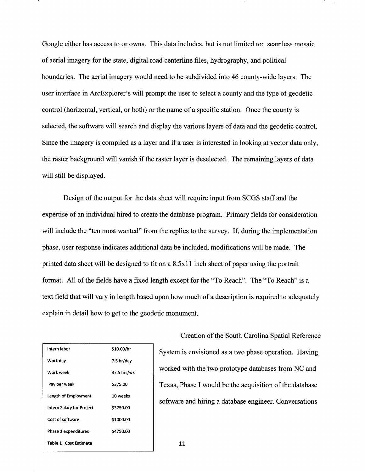Google either has access to or owns. This data includes, but is not limited to: seamless mosaic of aerial imagery for the state, digital road centerline files, hydrography, and political boundaries. The aerial imagery would need to be subdivided into 46 county-wide layers. The user interface in ArcExplorer's will prompt the user to select a county and the type of geodetic control (horizontal, vertical, or both) or the name of a specific station. Once the county is selected, the software will search and display the various layers of data and the geodetic control. Since the imagery is compiled as a layer and if a user is interested in looking at vector data only, the raster background will vanish if the raster layer is deselected. The remaining layers of data will still be displayed.

Design of the output for the data sheet will require input from SCGS staff and the expertise of an individual hired to create the database program. Primary fields for consideration will include the "ten most wanted" from the replies to the survey. If, during the implementation phase, user response indicates additional data be included, modifications will be made. The printed data sheet will be designed to fit on a 8.5xll inch sheet of paper using the portrait format. All of the fields have a fixed length except for the "To Reach". The "To Reach" is a text field that will vary in length based upon how much of a description is required to adequately explain in detail how to get to the geodetic monument.

| Intern labor              | \$10.00/hr  |
|---------------------------|-------------|
| Work day                  | 7.5 hr/day  |
| Work week                 | 37.5 hrs/wk |
| Pay per week              | \$375.00    |
| Length of Employment      | 10 weeks    |
| Intern Salary for Project | \$3750.00   |
| Cost of software          | \$1000.00   |
| Phase 1 expenditures      | \$4750.00   |
| Table 1 Cost Estimate     |             |

Creation of the South Carolina Spatial Reference System is envisioned as a two phase operation. Having worked with the two prototype databases from NC and Texas, Phase I would be the acquisition of the database software and hiring a database engineer. Conversations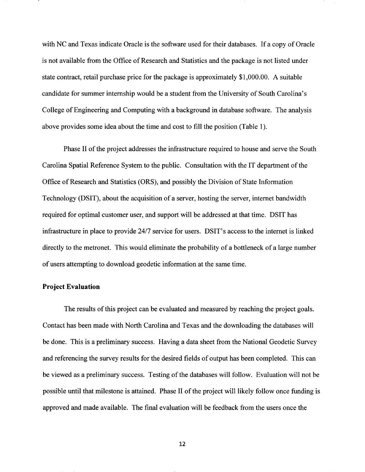with NC and Texas indicate Oracle is the software used for their databases. If a copy of Oracle is not available from the Office of Research and Statistics and the package is not listed under state contract, retail purchase price for the package is approximately \$1 ,000.00. A suitable candidate for summer internship would be a student from the University of South Carolina's College of Engineering and Computing with a background in database software. The analysis above provides some idea about the time and cost to fill the position (Table 1 ).

Phase II of the project addresses the infrastructure required to house and serve the South Carolina Spatial Reference System to the public. Consultation with the IT department of the Office of Research and Statistics (ORS), and possibly the Division of State Information Technology (DSIT), about the acquisition of a server, hosting the server, internet bandwidth required for optimal customer user, and support will be addressed at that time. DSIT has infrastructure in place to provide 24/7 service for users. DSIT's access to the internet is linked directly to the metronet. This would eliminate the probability of a bottleneck of a large number of users attempting to download geodetic information at the same time.

#### **Project Evaluation**

The results of this project can be evaluated and measured by reaching the project goals. Contact has been made with North Carolina and Texas and the downloading the databases will be done. This is a preliminary success. Having a data sheet from the National Geodetic Survey and referencing the survey results for the desired fields of output has been completed. This can be viewed as a preliminary success. Testing of the databases will follow. Evaluation will not be possible until that milestone is attained. Phase II of the project will likely follow once funding is approved and made available. The final evaluation will be feedback from the users once the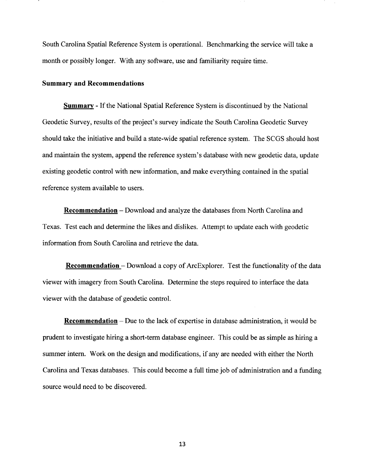South Carolina Spatial Reference System is operational. Benchmarking the service will take a month or possibly longer. With any software, use and familiarity require time.

#### **Summary and Recommendations**

**Summary** - If the National Spatial Reference System is discontinued by the National Geodetic Survey, results of the project's survey indicate the South Carolina Geodetic Survey should take the initiative and build a state-wide spatial reference system. The SCGS should host and maintain the system, append the reference system's database with new geodetic data, update existing geodetic control with new information, and make everything contained in the spatial reference system available to users.

**Recommendation** - Download and analyze the databases from North Carolina and Texas. Test each and determine the likes and dislikes. Attempt to update each with geodetic information from South Carolina and retrieve the data.

**Recommendation** – Download a copy of ArcExplorer. Test the functionality of the data viewer with imagery from South Carolina. Determine the steps required to interface the data viewer with the database of geodetic control.

**Recommendation** – Due to the lack of expertise in database administration, it would be prudent to investigate hiring a short-term database engineer. This could be as simple as hiring a summer intern. Work on the design and modifications, if any are needed with either the North Carolina and Texas databases. This could become a full time job of administration and a funding source would need to be discovered.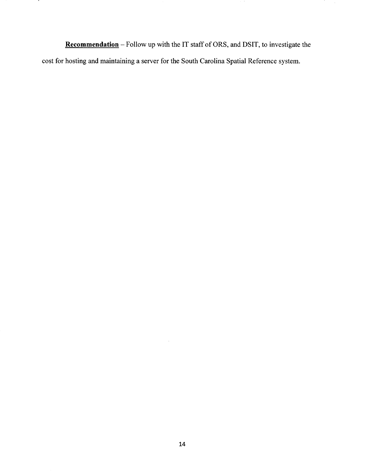**Recommendation-** Follow up with the IT staff of ORS, and DSIT, to investigate the cost for hosting and maintaining a server for the South Carolina Spatial Reference system.

.

 $\hat{\boldsymbol{\beta}}$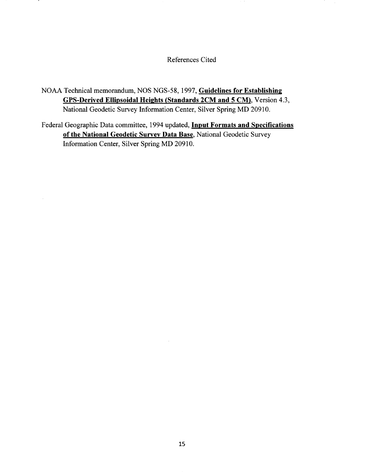References Cited

NOAA Technical memorandum, NOS NGS-58, 1997, Guidelines for Establishing GPS-Derived Ellipsoidal Heights (Standards 2CM and 5 CM), Version 4.3, National Geodetic Survey Information Center, Silver Spring MD 20910.

Federal Geographic Data committee, 1994 updated, Input Formats and Specifications of the National Geodetic Survey Data Base, National Geodetic Survey Information Center, Silver Spring MD 20910.

 $\bar{z}$ 

 $\mathcal{L}$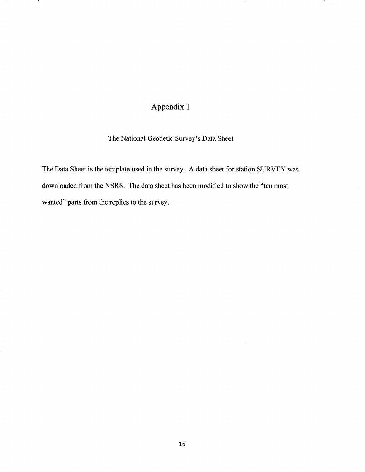### Appendix 1

.

#### The National Geodetic Survey's Data Sheet

The Data Sheet is the template used in the survey. A data sheet for station SURVEY was downloaded from the NSRS. The data sheet has been modified to show the "ten most wanted" parts from the replies to the survey.

à.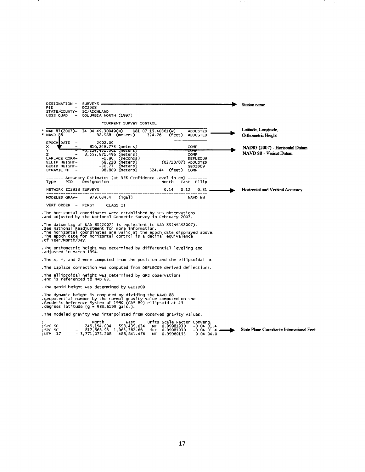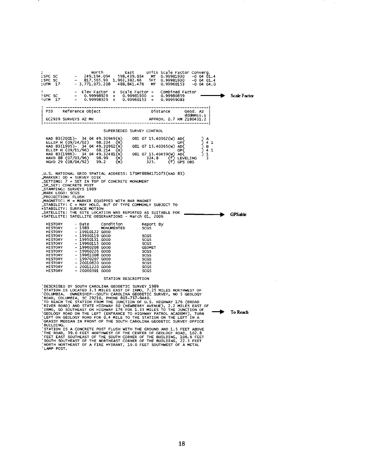North East units scale Factor converg. SPC sc 249,194.094 598,439.034 MT 0.99981930 -0 04 01.4 SPC sc 817, 565.93 1,963,382.66 iFT 0.99981930 -0 04 01.4 UTM 17 - 3,771,073.208 488, 841.4 76 MT 0.99960153 -0 04 04.0 <sup>I</sup>El ev Factor X scale Factor - combined Factor !SPC sc 0.99998929 X 0.99981930 0.99980859 !UTM 17 0.99998929 X 0.99960153 0.99959083 : --------------------------------------------------------------------1 <sup>I</sup>PID Reference object Distance Geod. Az <sup>I</sup> I dddmmss.s I I EC2939 SURVEYS AZ MK APPROX. 0.7 KM 2180431.2 I 1---------------------------------------------------------------------l SUPERSEDED SURVEY CONTROL<br>
30949(N) 081 07 15.40362(W) AD(<br>
224 (m) 081 07 15.40365(W) AD(<br>
214 (m) 081 07 15.40365(W) AD(<br>
231481(N) 081 07 15.40459(W) AD(<br>
32481(N) 081 07 15.40459(W) AD(<br>
99 (m) 324.8 (T) LEVELING<br>
2 (m NAD 83(2001)- 34 04 49.30949(N) 081 07 15.40362(W) AD(<br>ELLIP H (09/24/02) 68.224 (m)<br>NAD 83(1995)- 34 04 49.30962(N) 081 07 15.40365(W) AD(<br>ELLIP H (09/11/96) 68.214 (m)<br>NAVD 88 (07/03/96) 99.2 (m) 324.8 (f) GPS OBS<br>NGVD 2 \_U.S. NATIONAL GRID SPATIAL ADDRESS: 17SMT8884171073(NAD 83)<br>\_MARKER: DD = SURVEY OISK<br>\_SETTING: 7 = SET IN TOP OF CONCRETE MONUMENT<br>\_SP\_SET: CONCRETE POST<br>\_SP\_SET: CONCRETE POST<br>\_MARK LOGO: SCGS<br>\_MARK LOGO: SCGS<br>\_MARK LOG **HISTORY** HISTORY HISTORY HISTORY HISTORY **HTSTORY HISTORY HISTORY** HISTORY **HISTORY HISTORY HISTORY HISTORY** - Date condition<br>- 19910122 GOOD<br>- 19930119 GOOD<br>- 19950113 GOOD<br>- 19960218 GOOD<br>- 19960208 GOOD<br>- 19960226 GOOD<br>- 19970207 GOOD<br>- 20010620 GOOD - 20011220 GOOD<br>- 20011220 GOOD - 20060301 GOOD Report By SCGS SCGS SCGS SCGS **GEOMET** SCGS SCGS SCGS SCGS SCGS SCGS STATION DESCRIPTION ) A<br>) 4 1<br>) 4 1<br>) 1<br>) 3 .. Scale Factor GPSable

DESCRIBED BY SOUTH CAROLINA GEODETIC SURVEY 1989<br>
STATION IS LOCATED 3.5 MILES NORTHWEST OF<br>
COLUMBIA. OWNERSHIP--SOUTH CAROLINA GEODETIC SURVEY, NO 5 GEOLOGY<br>
ROAD, COLUMBIA, SC 29210, PHONE 803-737-9440.<br>
TO REACH THE ST

BUILDING.<br>'STATION IS A CONCRETE POST FLUSH WITH THE GROUND AND 1.5 FEET ABOVE<br>'THE ROAD, 39.0 FEET NORTHWEST OF THE CENTER OF GEOLOGY ROAD, 102.8<br>'FEET EAST SOUTHEAST OF THE SOUTH CORNER OF THE BUILDING, 22.3 FEET<br>'SOUTH LAMP POST.

**→** To Reach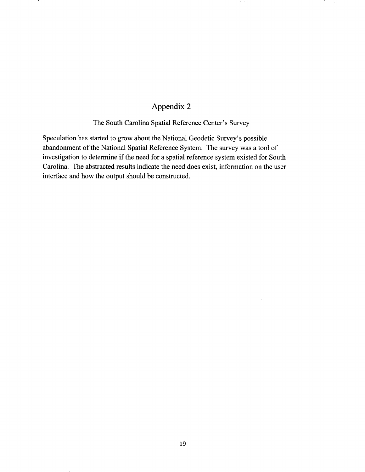### Appendix 2

#### The South Carolina Spatial Reference Center's Survey

Speculation has started to grow about the National Geodetic Survey's possible abandonment of the National Spatial Reference System. The survey was a tool of investigation to determine if the need for a spatial reference system existed for South Carolina. The abstracted results indicate the need does exist, information on the user interface and how the output should be constructed.

à.

 $\bar{\gamma}$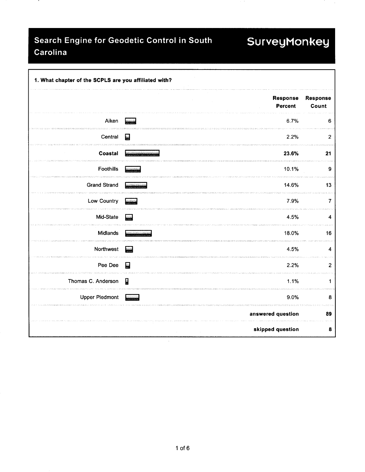### Search Engine for Geodetic Control in South SurveyMonkey Carolina

.

| 1. What chapter of the SCPLS are you affiliated with? |                            |                   |  |  |  |  |
|-------------------------------------------------------|----------------------------|-------------------|--|--|--|--|
|                                                       | Response<br><b>Percent</b> | Response<br>Count |  |  |  |  |
| Aiken                                                 | 6.7%                       | 6                 |  |  |  |  |
| Central                                               | 2.2%<br><b>Sept</b>        | $\overline{c}$    |  |  |  |  |
| Coastal                                               | 23.6%                      | 21                |  |  |  |  |
| Foothills                                             | 10.1%                      | 9                 |  |  |  |  |
| <b>Grand Strand</b>                                   | 14.6%                      | 13                |  |  |  |  |
| Low Country                                           | 7.9%<br><b>Marine Cal</b>  | 7                 |  |  |  |  |
| Mid-State                                             | 4.5%                       | 4                 |  |  |  |  |
| Midlands                                              | 18.0%                      | 16                |  |  |  |  |
| Northwest                                             | 4.5%<br><b>Suite</b>       | 4                 |  |  |  |  |
| Pee Dee                                               | 翳<br>2.2%                  | $\overline{c}$    |  |  |  |  |
| Thomas C. Anderson                                    | $\mathbf{r}$<br>1.1%       | 1                 |  |  |  |  |
| <b>Upper Piedmont</b>                                 | 9.0%                       | 8                 |  |  |  |  |
|                                                       | answered question          | 89                |  |  |  |  |
|                                                       | skipped question           | $\pmb{8}$         |  |  |  |  |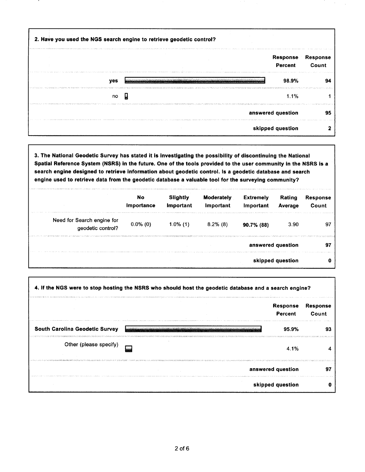| 2. Have you used the NGS search engine to retrieve geodetic control?                                           |                            |                          |  |
|----------------------------------------------------------------------------------------------------------------|----------------------------|--------------------------|--|
|                                                                                                                | <b>Response</b><br>Percent | <b>Response</b><br>Count |  |
| yes                                                                                                            | 98.9%                      | 94                       |  |
| no                                                                                                             | 1.1%                       |                          |  |
| 2 lifest - le controlle est le controlle de la finale de la finale de la finale de la finale de la composición | answered question          | 95                       |  |
| skipped question                                                                                               |                            |                          |  |

3. The National Geodetic Survey has stated it is investigating the possibility of discontinuing the National Spatial Reference System (NSRS) In the future. One of the tools provided to the user community in the NSRS is a search engine designed to retrieve information about geodetic control. Is a geodetic database and search engine used to retrieve data from the geodetic database a valuable tool for the surveying community?

|                                                 | No<br>Importance | Slightly<br>Important | <b>Moderately</b><br>Important | <b>Extremely</b><br>Important | Rating<br>Average | <b>Response</b><br>Count |
|-------------------------------------------------|------------------|-----------------------|--------------------------------|-------------------------------|-------------------|--------------------------|
| Need for Search engine for<br>geodetic control? | $0.0\%$ (0)      | $1.0\%$ (1)           | $8.2\%$ (8)                    | 90.7% (88)                    | 3.90              | 97                       |
|                                                 |                  |                       |                                |                               | answered question | 97                       |
|                                                 |                  |                       |                                |                               | skipped question  | o                        |

|                                       | 4. If the NGS were to stop hosting the NSRS who should host the geodetic database and a search engine?                        |                          |
|---------------------------------------|-------------------------------------------------------------------------------------------------------------------------------|--------------------------|
|                                       | <b>Response</b><br><b>Percent</b>                                                                                             | <b>Response</b><br>Count |
| <b>South Carolina Geodetic Survey</b> | 95.9%<br>orbinis i era izboljanom si bila pri isti ana po debila benirakcije drugih komunima za zamljena benim oblazala po me | 93                       |
| Other (please specify)                | 4.1%                                                                                                                          |                          |
|                                       | answered question                                                                                                             |                          |
|                                       | skipped question                                                                                                              |                          |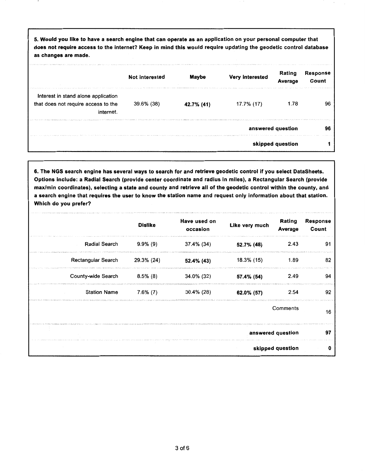5. Would you like to have a search engine that can operate as an application on your personal computer that does not require access to the internet? Keep in mind this would require updating the geodetic control database as changes are made.

|                                                                                         | <b>Not interested</b> | <b>Maybe</b> | → Contract Explorer とものでもあるので、その他の中でもない。 おんせい あんせい あんしょうぶん オープン・ストーン ディー・コール コール・コース アイ・コント アイル・アイ・プラン<br>Very interested | Rating<br>Average | <b>Response</b><br>Count |
|-----------------------------------------------------------------------------------------|-----------------------|--------------|---------------------------------------------------------------------------------------------------------------------------|-------------------|--------------------------|
| Interest in stand alone application<br>that does not require access to the<br>internet. | 39.6% (38)            | 42.7% (41)   | 17.7% (17)                                                                                                                | 1.78              | 96                       |
|                                                                                         |                       |              |                                                                                                                           | answered question | 96                       |
|                                                                                         |                       |              |                                                                                                                           | skipped question  |                          |

6. The NGS search engine has several ways to search for and retrieve geodetic control if you select DataSheets. Options include: a Radial Search (provide center coordinate and radius in miles), a Rectangular Search (provide max/min coordinates), selecting a state and county and retrieve all of the geodetic control within the county, and a search engine that requires the user to know the station name and request only information about that station. Which do you prefer?

|                      | <b>Dislike</b> | Have used on<br>occasion | Like very much | Rating<br>Average | <b>Response</b><br>Count |
|----------------------|----------------|--------------------------|----------------|-------------------|--------------------------|
| <b>Radial Search</b> | $9.9\%$ (9)    | 37.4% (34)               | 52.7% (48)     | 2.43              | 91                       |
| Rectangular Search   | 29.3% (24)     | 52.4% (43)               | 18.3% (15)     | 1.89              | 82                       |
| County-wide Search   | $8.5\%$ (8)    | 34.0% (32)               | 57.4% (54)     | 2.49              | 94                       |
| <b>Station Name</b>  | $7.6\%$ (7)    | $30.4\%$ (28)            | 62.0% (57)     | 2.54              | 92                       |
|                      |                |                          |                | Comments          | 16                       |
|                      |                |                          |                | answered question | 97                       |
|                      |                |                          |                | skipped question  | ŋ                        |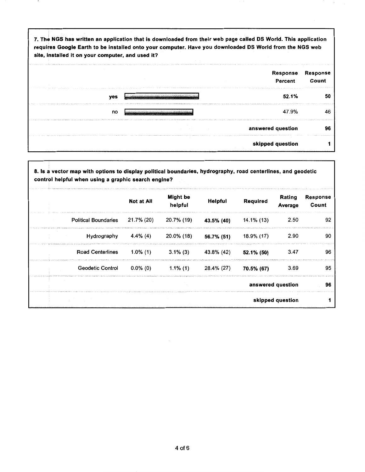| 7. The NGS has written an application that is downloaded from their web page called DS World. This application<br>requires Google Earth to be installed onto your computer. Have you downloaded DS World from the NGS web<br>site, installed it on your computer, and used it? |                          |
|--------------------------------------------------------------------------------------------------------------------------------------------------------------------------------------------------------------------------------------------------------------------------------|--------------------------|
| Response<br>Percent                                                                                                                                                                                                                                                            | <b>Response</b><br>Count |
| 52.1%<br>yes                                                                                                                                                                                                                                                                   | 50                       |
| 47.9%<br>no                                                                                                                                                                                                                                                                    | 46                       |
| answered question                                                                                                                                                                                                                                                              | 96                       |
| skipped question                                                                                                                                                                                                                                                               |                          |

| 8. Is a vector map with options to display political boundaries, hydrography, road centerlines, and geodetic<br>control helpful when using a graphic search engine? |             |                            |            |            |                   |                          |
|---------------------------------------------------------------------------------------------------------------------------------------------------------------------|-------------|----------------------------|------------|------------|-------------------|--------------------------|
|                                                                                                                                                                     | Not at All  | <b>Might</b> be<br>helpful | Helpful    | Required   | Rating<br>Average | <b>Response</b><br>Count |
| <b>Political Boundaries</b>                                                                                                                                         | 21.7% (20)  | 20.7% (19)                 | 43.5% (40) | 14.1% (13) | 2.50              | 92                       |
| Hydrography                                                                                                                                                         | 4.4% (4)    | 20.0% (18)                 | 56.7% (51) | 18.9% (17) | 2.90              | 90                       |
| <b>Road Centerlines</b>                                                                                                                                             | $1.0\%$ (1) | $3.1\%$ (3)                | 43.8% (42) | 52.1% (50) | 3.47              | 96                       |
| <b>Geodetic Control</b>                                                                                                                                             | 0.0% (0)    | $1.1\%$ (1)                | 28.4% (27) | 70.5% (67) | 3.69              | 95                       |
|                                                                                                                                                                     |             |                            |            |            | answered question | 96                       |
|                                                                                                                                                                     |             |                            |            |            | skipped question  |                          |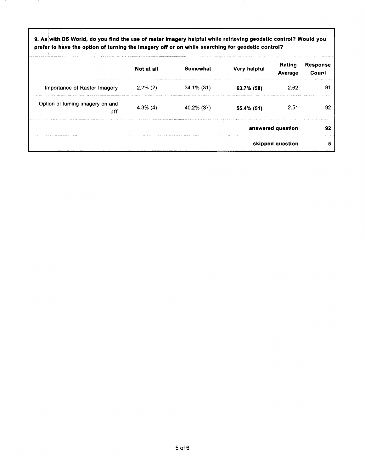9. As 'with OS World, do you find the use of raster imagery helpful while retrieving geodetic control? Would you prefer to have the option of turning the imagery off or on while searching for geodetic control?

|                                         | Not at all                                                                                                                                                                                                                                    | Somewhat   | Very helpful | Rating<br>Average | <b>Response</b><br>Count |
|-----------------------------------------|-----------------------------------------------------------------------------------------------------------------------------------------------------------------------------------------------------------------------------------------------|------------|--------------|-------------------|--------------------------|
| Importance of Raster Imagery            | $2.2\%$ (2)<br>INTERNATIONAL PROPERTY CONTRACTOR (2013) AND A REPORT OF THE PROPERTY OF THE RESIDENCE OF THE RESIDENCE OF THE REAL PROPERTY OF THE REAL PROPERTY OF THE REAL PROPERTY OF THE REAL PROPERTY OF THE REAL PROPERTY OF THE REAL P | 34.1% (31) | 63.7% (58)   | 2.62              |                          |
| Option of turning imagery on and<br>off | $4.3\%$ (4)                                                                                                                                                                                                                                   | 40.2% (37) | 55.4% (51)   | 2.51              | 92                       |
|                                         |                                                                                                                                                                                                                                               |            |              | answered question | 92                       |
|                                         |                                                                                                                                                                                                                                               |            |              | skipped question  |                          |